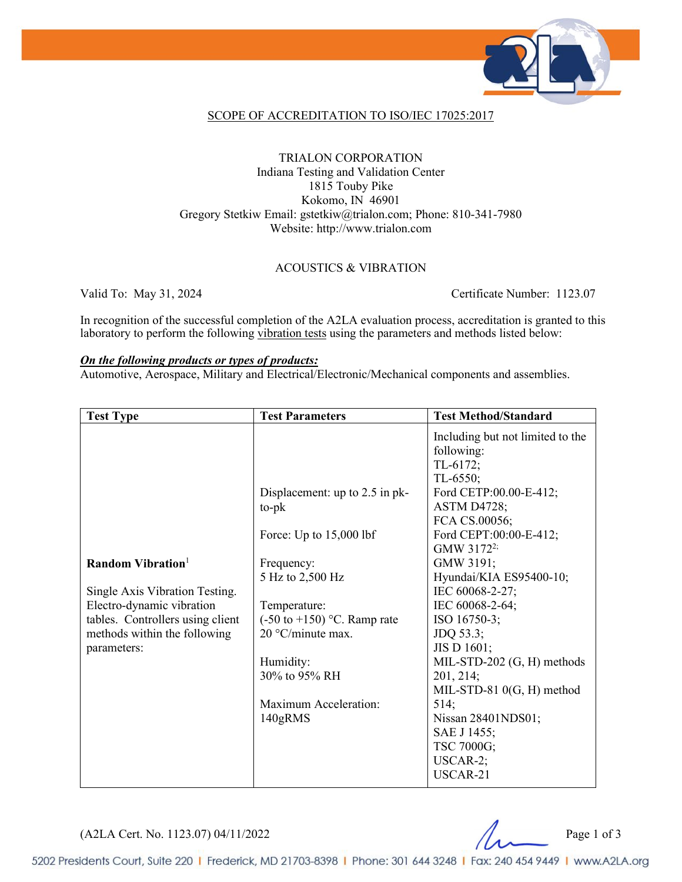

#### SCOPE OF ACCREDITATION TO ISO/IEC 17025:2017

#### TRIALON CORPORATION Indiana Testing and Validation Center 1815 Touby Pike Kokomo, IN 46901 Gregory Stetkiw Email: gstetkiw@trialon.com; Phone: 810-341-7980 Website: http://www.trialon.com

#### ACOUSTICS & VIBRATION

Valid To: May 31, 2024 Certificate Number: 1123.07

In recognition of the successful completion of the A2LA evaluation process, accreditation is granted to this laboratory to perform the following vibration tests using the parameters and methods listed below:

#### *On the following products or types of products:*

Automotive, Aerospace, Military and Electrical/Electronic/Mechanical components and assemblies.

| <b>Test Type</b>                                                                                                                                                                | <b>Test Parameters</b>                                                                                        | <b>Test Method/Standard</b>                                                                                                                               |
|---------------------------------------------------------------------------------------------------------------------------------------------------------------------------------|---------------------------------------------------------------------------------------------------------------|-----------------------------------------------------------------------------------------------------------------------------------------------------------|
|                                                                                                                                                                                 |                                                                                                               | Including but not limited to the<br>following:<br>TL-6172;<br>$TL-6550;$                                                                                  |
|                                                                                                                                                                                 | Displacement: up to 2.5 in pk-<br>$to$ - $pk$                                                                 | Ford CETP:00.00-E-412;<br><b>ASTM D4728;</b><br>FCA CS.00056;                                                                                             |
|                                                                                                                                                                                 | Force: Up to $15,000$ lbf                                                                                     | Ford CEPT:00:00-E-412;<br>GMW $3172^{2}$                                                                                                                  |
| Random Vibration <sup>1</sup><br>Single Axis Vibration Testing.<br>Electro-dynamic vibration<br>tables. Controllers using client<br>methods within the following<br>parameters: | Frequency:<br>5 Hz to 2,500 Hz<br>Temperature:<br>$(-50 \text{ to } +150)$ °C. Ramp rate<br>20 °C/minute max. | GMW 3191;<br>Hyundai/KIA ES95400-10;<br>IEC 60068-2-27;<br>IEC 60068-2-64;<br>ISO 16750-3;<br>JDQ 53.3;<br>JIS D 1601;                                    |
|                                                                                                                                                                                 | Humidity:<br>30% to 95% RH<br>Maximum Acceleration:<br>140gRMS                                                | MIL-STD-202 (G, H) methods<br>201, 214;<br>MIL-STD-81 $0(G, H)$ method<br>514;<br>Nissan 28401NDS01;<br>SAE J 1455;<br>TSC 7000G;<br>USCAR-2;<br>USCAR-21 |

(A2LA Cert. No. 1123.07) 04/11/2022 Page 1 of 3

5202 Presidents Court, Suite 220 | Frederick, MD 21703-8398 | Phone: 301 644 3248 | Fax: 240 454 9449 | www.A2LA.org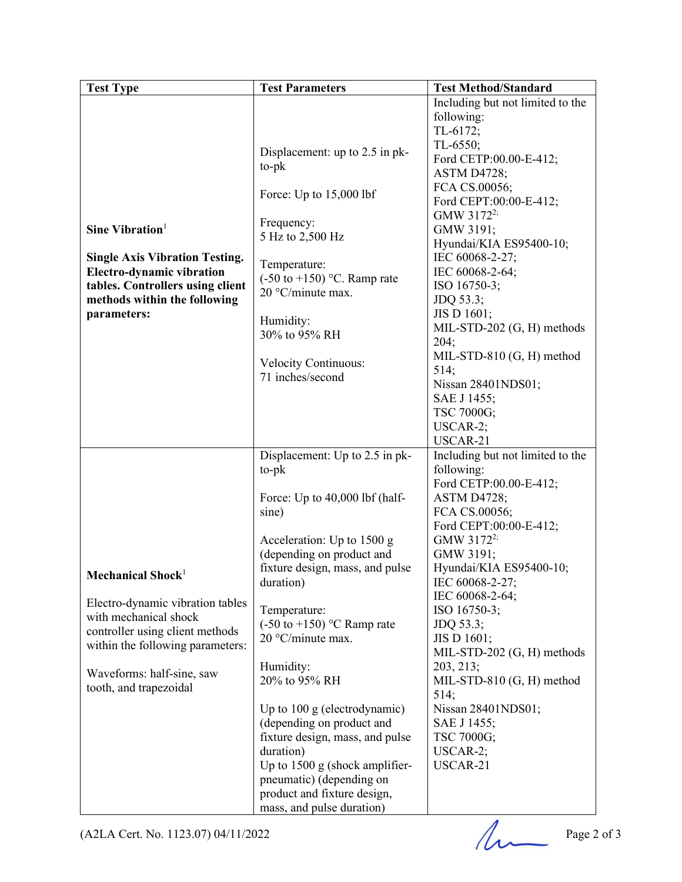|                                       | Including but not limited to the<br>following:                                                                                                                                                                                                                                                                                                                                                                                                                                                                                                                                                                                                                      |
|---------------------------------------|---------------------------------------------------------------------------------------------------------------------------------------------------------------------------------------------------------------------------------------------------------------------------------------------------------------------------------------------------------------------------------------------------------------------------------------------------------------------------------------------------------------------------------------------------------------------------------------------------------------------------------------------------------------------|
|                                       |                                                                                                                                                                                                                                                                                                                                                                                                                                                                                                                                                                                                                                                                     |
|                                       |                                                                                                                                                                                                                                                                                                                                                                                                                                                                                                                                                                                                                                                                     |
|                                       | TL-6172;                                                                                                                                                                                                                                                                                                                                                                                                                                                                                                                                                                                                                                                            |
|                                       | TL-6550;                                                                                                                                                                                                                                                                                                                                                                                                                                                                                                                                                                                                                                                            |
|                                       | Ford CETP:00.00-E-412;                                                                                                                                                                                                                                                                                                                                                                                                                                                                                                                                                                                                                                              |
|                                       | ASTM D4728;                                                                                                                                                                                                                                                                                                                                                                                                                                                                                                                                                                                                                                                         |
|                                       | FCA CS.00056;                                                                                                                                                                                                                                                                                                                                                                                                                                                                                                                                                                                                                                                       |
|                                       | Ford CEPT:00:00-E-412;                                                                                                                                                                                                                                                                                                                                                                                                                                                                                                                                                                                                                                              |
|                                       | GMW 3172 <sup>2;</sup>                                                                                                                                                                                                                                                                                                                                                                                                                                                                                                                                                                                                                                              |
|                                       | GMW 3191;                                                                                                                                                                                                                                                                                                                                                                                                                                                                                                                                                                                                                                                           |
|                                       | Hyundai/KIA ES95400-10;                                                                                                                                                                                                                                                                                                                                                                                                                                                                                                                                                                                                                                             |
|                                       | IEC 60068-2-27;                                                                                                                                                                                                                                                                                                                                                                                                                                                                                                                                                                                                                                                     |
| Temperature:                          | IEC 60068-2-64;                                                                                                                                                                                                                                                                                                                                                                                                                                                                                                                                                                                                                                                     |
|                                       |                                                                                                                                                                                                                                                                                                                                                                                                                                                                                                                                                                                                                                                                     |
| 20 °C/minute max.                     | ISO 16750-3;                                                                                                                                                                                                                                                                                                                                                                                                                                                                                                                                                                                                                                                        |
|                                       | JDQ 53.3;                                                                                                                                                                                                                                                                                                                                                                                                                                                                                                                                                                                                                                                           |
|                                       | JIS D 1601;                                                                                                                                                                                                                                                                                                                                                                                                                                                                                                                                                                                                                                                         |
|                                       | MIL-STD-202 (G, H) methods                                                                                                                                                                                                                                                                                                                                                                                                                                                                                                                                                                                                                                          |
|                                       | 204;                                                                                                                                                                                                                                                                                                                                                                                                                                                                                                                                                                                                                                                                |
|                                       | MIL-STD-810 (G, H) method                                                                                                                                                                                                                                                                                                                                                                                                                                                                                                                                                                                                                                           |
|                                       | 514;                                                                                                                                                                                                                                                                                                                                                                                                                                                                                                                                                                                                                                                                |
|                                       | Nissan 28401NDS01;                                                                                                                                                                                                                                                                                                                                                                                                                                                                                                                                                                                                                                                  |
|                                       | SAE J 1455;                                                                                                                                                                                                                                                                                                                                                                                                                                                                                                                                                                                                                                                         |
|                                       | TSC 7000G;                                                                                                                                                                                                                                                                                                                                                                                                                                                                                                                                                                                                                                                          |
|                                       | USCAR-2;                                                                                                                                                                                                                                                                                                                                                                                                                                                                                                                                                                                                                                                            |
|                                       | USCAR-21                                                                                                                                                                                                                                                                                                                                                                                                                                                                                                                                                                                                                                                            |
|                                       | Including but not limited to the                                                                                                                                                                                                                                                                                                                                                                                                                                                                                                                                                                                                                                    |
|                                       | following:                                                                                                                                                                                                                                                                                                                                                                                                                                                                                                                                                                                                                                                          |
|                                       | Ford CETP:00.00-E-412;                                                                                                                                                                                                                                                                                                                                                                                                                                                                                                                                                                                                                                              |
|                                       |                                                                                                                                                                                                                                                                                                                                                                                                                                                                                                                                                                                                                                                                     |
|                                       | <b>ASTM D4728;</b>                                                                                                                                                                                                                                                                                                                                                                                                                                                                                                                                                                                                                                                  |
|                                       | FCA CS.00056;                                                                                                                                                                                                                                                                                                                                                                                                                                                                                                                                                                                                                                                       |
|                                       | Ford CEPT:00:00-E-412;                                                                                                                                                                                                                                                                                                                                                                                                                                                                                                                                                                                                                                              |
|                                       | GMW 3172 <sup>2;</sup>                                                                                                                                                                                                                                                                                                                                                                                                                                                                                                                                                                                                                                              |
|                                       | GMW 3191;                                                                                                                                                                                                                                                                                                                                                                                                                                                                                                                                                                                                                                                           |
|                                       | Hyundai/KIA ES95400-10;                                                                                                                                                                                                                                                                                                                                                                                                                                                                                                                                                                                                                                             |
| duration)                             | IEC 60068-2-27;                                                                                                                                                                                                                                                                                                                                                                                                                                                                                                                                                                                                                                                     |
|                                       | IEC 60068-2-64;                                                                                                                                                                                                                                                                                                                                                                                                                                                                                                                                                                                                                                                     |
| Temperature:                          | ISO 16750-3;                                                                                                                                                                                                                                                                                                                                                                                                                                                                                                                                                                                                                                                        |
| $(-50 \text{ to } +150)$ °C Ramp rate | JDQ 53.3;                                                                                                                                                                                                                                                                                                                                                                                                                                                                                                                                                                                                                                                           |
| 20 °C/minute max.                     | JIS D 1601;                                                                                                                                                                                                                                                                                                                                                                                                                                                                                                                                                                                                                                                         |
|                                       | MIL-STD-202 (G, H) methods                                                                                                                                                                                                                                                                                                                                                                                                                                                                                                                                                                                                                                          |
|                                       | 203, 213;                                                                                                                                                                                                                                                                                                                                                                                                                                                                                                                                                                                                                                                           |
|                                       | MIL-STD-810 (G, H) method                                                                                                                                                                                                                                                                                                                                                                                                                                                                                                                                                                                                                                           |
|                                       | 514;                                                                                                                                                                                                                                                                                                                                                                                                                                                                                                                                                                                                                                                                |
|                                       | Nissan 28401NDS01;                                                                                                                                                                                                                                                                                                                                                                                                                                                                                                                                                                                                                                                  |
|                                       | SAE J 1455;                                                                                                                                                                                                                                                                                                                                                                                                                                                                                                                                                                                                                                                         |
|                                       |                                                                                                                                                                                                                                                                                                                                                                                                                                                                                                                                                                                                                                                                     |
|                                       | TSC 7000G;                                                                                                                                                                                                                                                                                                                                                                                                                                                                                                                                                                                                                                                          |
|                                       | $USCAR-2;$                                                                                                                                                                                                                                                                                                                                                                                                                                                                                                                                                                                                                                                          |
|                                       | USCAR-21                                                                                                                                                                                                                                                                                                                                                                                                                                                                                                                                                                                                                                                            |
|                                       |                                                                                                                                                                                                                                                                                                                                                                                                                                                                                                                                                                                                                                                                     |
|                                       |                                                                                                                                                                                                                                                                                                                                                                                                                                                                                                                                                                                                                                                                     |
| mass, and pulse duration)             |                                                                                                                                                                                                                                                                                                                                                                                                                                                                                                                                                                                                                                                                     |
|                                       |                                                                                                                                                                                                                                                                                                                                                                                                                                                                                                                                                                                                                                                                     |
|                                       | Displacement: up to 2.5 in pk-<br>to-pk<br>Force: Up to $15,000$ lbf<br>Frequency:<br>5 Hz to 2,500 Hz<br>$(-50 \text{ to } +150)$ °C. Ramp rate<br>Humidity:<br>30% to 95% RH<br><b>Velocity Continuous:</b><br>71 inches/second<br>Displacement: Up to 2.5 in pk-<br>$to$ -p $k$<br>Force: Up to 40,000 lbf (half-<br>sine)<br>Acceleration: Up to 1500 g<br>(depending on product and<br>fixture design, mass, and pulse<br>Humidity:<br>20% to 95% RH<br>Up to 100 g (electrodynamic)<br>(depending on product and<br>fixture design, mass, and pulse<br>duration)<br>Up to 1500 g (shock amplifier-<br>pneumatic) (depending on<br>product and fixture design, |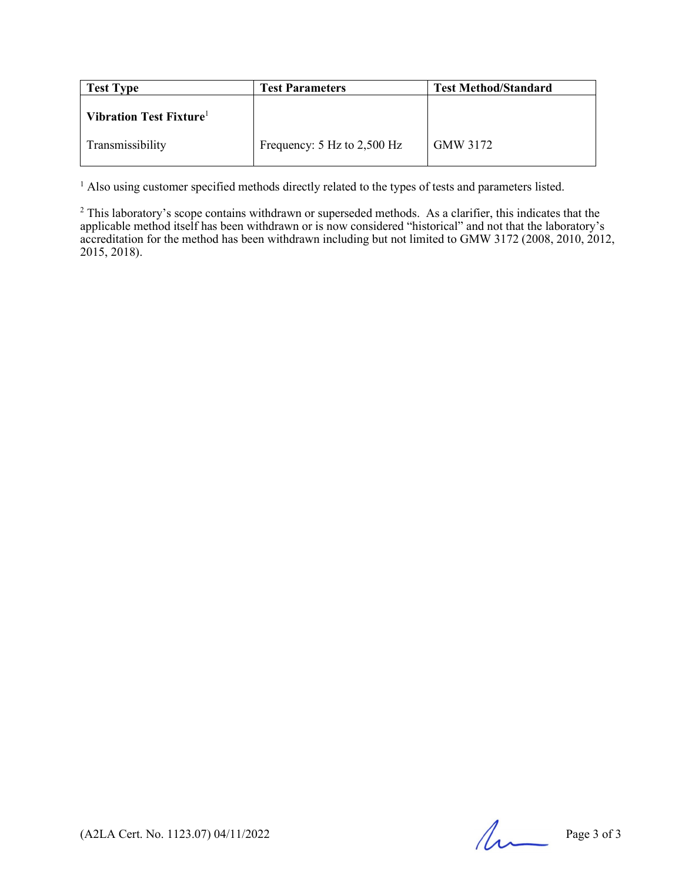| <b>Test Type</b>       | <b>Test Parameters</b>          | <b>Test Method/Standard</b> |
|------------------------|---------------------------------|-----------------------------|
| Vibration Test Fixture |                                 |                             |
| Transmissibility       | Frequency: $5$ Hz to $2,500$ Hz | GMW 3172                    |

<sup>1</sup> Also using customer specified methods directly related to the types of tests and parameters listed.

 $2$  This laboratory's scope contains withdrawn or superseded methods. As a clarifier, this indicates that the applicable method itself has been withdrawn or is now considered "historical" and not that the laboratory's accreditation for the method has been withdrawn including but not limited to GMW 3172 (2008, 2010, 2012, 2015, 2018).

 $(A2LA$  Cert. No. 1123.07) 04/11/2022 Page 3 of 3